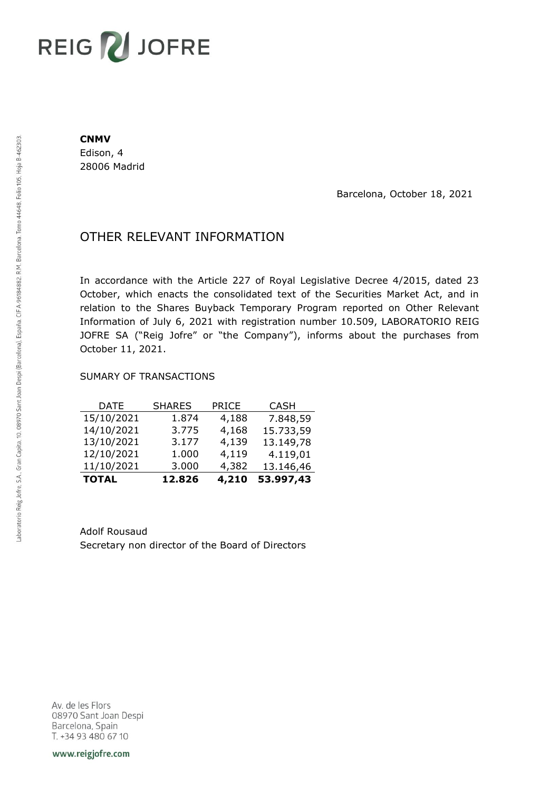# REIG V JOFRE

#### **CNMV**

Edison, 4 28006 Madrid

Barcelona, October 18, 2021

## OTHER RELEVANT INFORMATION

In accordance with the Article 227 of Royal Legislative Decree 4/2015, dated 23 October, which enacts the consolidated text of the Securities Market Act, and in relation to the Shares Buyback Temporary Program reported on Other Relevant Information of July 6, 2021 with registration number 10.509, LABORATORIO REIG JOFRE SA ("Reig Jofre" or "the Company"), informs about the purchases from October 11, 2021.

### SUMARY OF TRANSACTIONS

| <b>TOTAL</b> | 12.826        | 4,210        | 53.997,43   |
|--------------|---------------|--------------|-------------|
| 11/10/2021   | 3.000         | 4,382        | 13.146,46   |
| 12/10/2021   | 1.000         | 4,119        | 4.119,01    |
| 13/10/2021   | 3.177         | 4,139        | 13.149,78   |
| 14/10/2021   | 3.775         | 4,168        | 15.733,59   |
| 15/10/2021   | 1.874         | 4,188        | 7.848,59    |
| <b>DATE</b>  | <b>SHARES</b> | <b>PRICE</b> | <b>CASH</b> |

Adolf Rousaud Secretary non director of the Board of Directors

Av. de les Flors 08970 Sant Joan Despi Barcelona, Spain T. +34 93 480 67 10

www.reigjofre.com